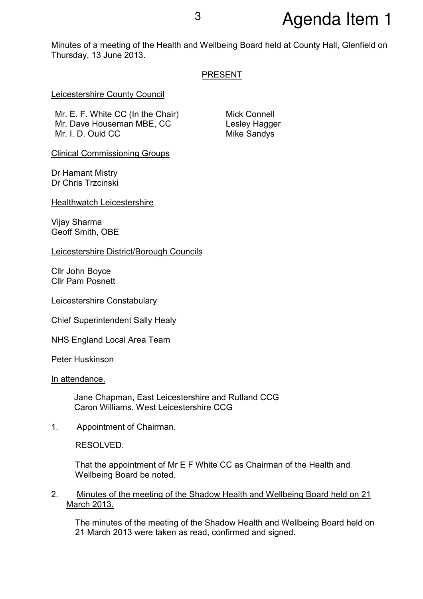# <sup>3</sup> Agenda Item 1

Minutes of a meeting of the Health and Wellbeing Board held at County Hall, Glenfield on Thursday, 13 June 2013.

## PRESENT

Leicestershire County Council

Mr. E. F. White CC (In the Chair) Mr. Dave Houseman MBE, CC Mr. I. D. Ould CC

Mick Connell Lesley Hagger Mike Sandys

Clinical Commissioning Groups

Dr Hamant Mistry Dr Chris Trzcinski

Healthwatch Leicestershire

Vijay Sharma Geoff Smith, OBE

Leicestershire District/Borough Councils

Cllr John Boyce Cllr Pam Posnett

Leicestershire Constabulary

Chief Superintendent Sally Healy

NHS England Local Area Team

Peter Huskinson

In attendance.

Jane Chapman, East Leicestershire and Rutland CCG Caron Williams, West Leicestershire CCG

1. Appointment of Chairman.

RESOLVED:

That the appointment of Mr E F White CC as Chairman of the Health and Wellbeing Board be noted.

2. Minutes of the meeting of the Shadow Health and Wellbeing Board held on 21 March 2013.

The minutes of the meeting of the Shadow Health and Wellbeing Board held on 21 March 2013 were taken as read, confirmed and signed.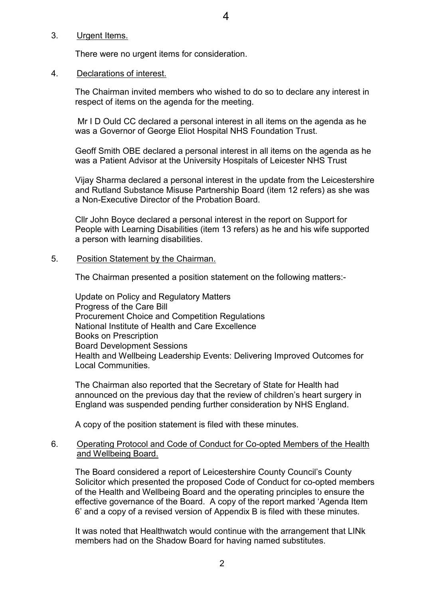#### 3. Urgent Items.

There were no urgent items for consideration.

## 4. Declarations of interest.

The Chairman invited members who wished to do so to declare any interest in respect of items on the agenda for the meeting.

 Mr I D Ould CC declared a personal interest in all items on the agenda as he was a Governor of George Eliot Hospital NHS Foundation Trust.

Geoff Smith OBE declared a personal interest in all items on the agenda as he was a Patient Advisor at the University Hospitals of Leicester NHS Trust

Vijay Sharma declared a personal interest in the update from the Leicestershire and Rutland Substance Misuse Partnership Board (item 12 refers) as she was a Non-Executive Director of the Probation Board.

Cllr John Boyce declared a personal interest in the report on Support for People with Learning Disabilities (item 13 refers) as he and his wife supported a person with learning disabilities.

## 5. Position Statement by the Chairman.

The Chairman presented a position statement on the following matters:-

Update on Policy and Regulatory Matters Progress of the Care Bill Procurement Choice and Competition Regulations National Institute of Health and Care Excellence Books on Prescription Board Development Sessions Health and Wellbeing Leadership Events: Delivering Improved Outcomes for Local Communities.

The Chairman also reported that the Secretary of State for Health had announced on the previous day that the review of children's heart surgery in England was suspended pending further consideration by NHS England.

A copy of the position statement is filed with these minutes.

## 6. Operating Protocol and Code of Conduct for Co-opted Members of the Health and Wellbeing Board.

The Board considered a report of Leicestershire County Council's County Solicitor which presented the proposed Code of Conduct for co-opted members of the Health and Wellbeing Board and the operating principles to ensure the effective governance of the Board. A copy of the report marked 'Agenda Item 6' and a copy of a revised version of Appendix B is filed with these minutes.

It was noted that Healthwatch would continue with the arrangement that LINk members had on the Shadow Board for having named substitutes.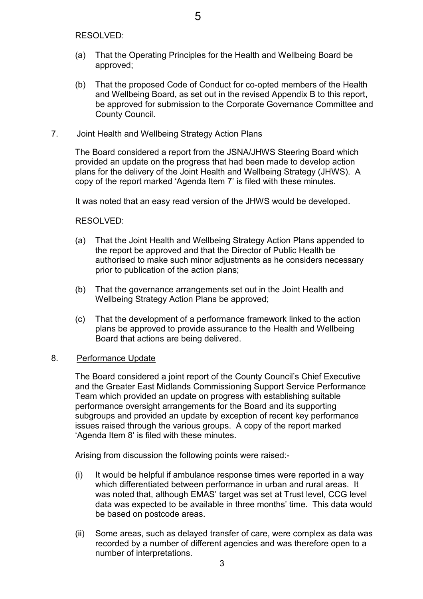RESOLVED:

- (a) That the Operating Principles for the Health and Wellbeing Board be approved;
- (b) That the proposed Code of Conduct for co-opted members of the Health and Wellbeing Board, as set out in the revised Appendix B to this report, be approved for submission to the Corporate Governance Committee and County Council.

#### 7. Joint Health and Wellbeing Strategy Action Plans

The Board considered a report from the JSNA/JHWS Steering Board which provided an update on the progress that had been made to develop action plans for the delivery of the Joint Health and Wellbeing Strategy (JHWS). A copy of the report marked 'Agenda Item 7' is filed with these minutes.

It was noted that an easy read version of the JHWS would be developed.

RESOLVED:

- (a) That the Joint Health and Wellbeing Strategy Action Plans appended to the report be approved and that the Director of Public Health be authorised to make such minor adjustments as he considers necessary prior to publication of the action plans;
- (b) That the governance arrangements set out in the Joint Health and Wellbeing Strategy Action Plans be approved;
- (c) That the development of a performance framework linked to the action plans be approved to provide assurance to the Health and Wellbeing Board that actions are being delivered.

#### 8. Performance Update

The Board considered a joint report of the County Council's Chief Executive and the Greater East Midlands Commissioning Support Service Performance Team which provided an update on progress with establishing suitable performance oversight arrangements for the Board and its supporting subgroups and provided an update by exception of recent key performance issues raised through the various groups. A copy of the report marked 'Agenda Item 8' is filed with these minutes.

Arising from discussion the following points were raised:-

- (i) It would be helpful if ambulance response times were reported in a way which differentiated between performance in urban and rural areas. It was noted that, although EMAS' target was set at Trust level, CCG level data was expected to be available in three months' time. This data would be based on postcode areas.
- (ii) Some areas, such as delayed transfer of care, were complex as data was recorded by a number of different agencies and was therefore open to a number of interpretations.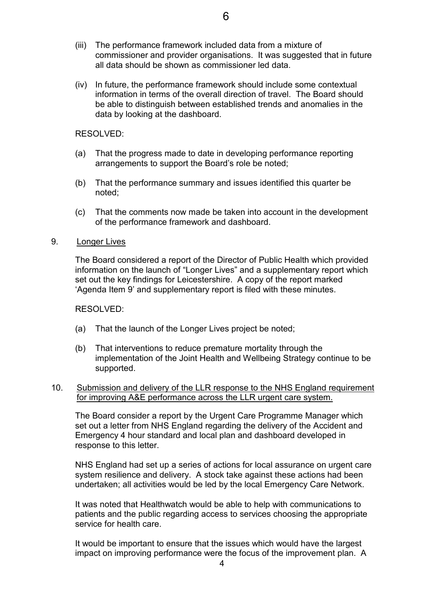- (iii) The performance framework included data from a mixture of commissioner and provider organisations. It was suggested that in future all data should be shown as commissioner led data.
- (iv) In future, the performance framework should include some contextual information in terms of the overall direction of travel. The Board should be able to distinguish between established trends and anomalies in the data by looking at the dashboard.

#### RESOLVED:

- (a) That the progress made to date in developing performance reporting arrangements to support the Board's role be noted;
- (b) That the performance summary and issues identified this quarter be noted;
- (c) That the comments now made be taken into account in the development of the performance framework and dashboard.
- 9. Longer Lives

The Board considered a report of the Director of Public Health which provided information on the launch of "Longer Lives" and a supplementary report which set out the key findings for Leicestershire. A copy of the report marked 'Agenda Item 9' and supplementary report is filed with these minutes.

#### RESOLVED:

- (a) That the launch of the Longer Lives project be noted;
- (b) That interventions to reduce premature mortality through the implementation of the Joint Health and Wellbeing Strategy continue to be supported.
- 10. Submission and delivery of the LLR response to the NHS England requirement for improving A&E performance across the LLR urgent care system.

The Board consider a report by the Urgent Care Programme Manager which set out a letter from NHS England regarding the delivery of the Accident and Emergency 4 hour standard and local plan and dashboard developed in response to this letter.

NHS England had set up a series of actions for local assurance on urgent care system resilience and delivery. A stock take against these actions had been undertaken; all activities would be led by the local Emergency Care Network.

It was noted that Healthwatch would be able to help with communications to patients and the public regarding access to services choosing the appropriate service for health care.

It would be important to ensure that the issues which would have the largest impact on improving performance were the focus of the improvement plan. A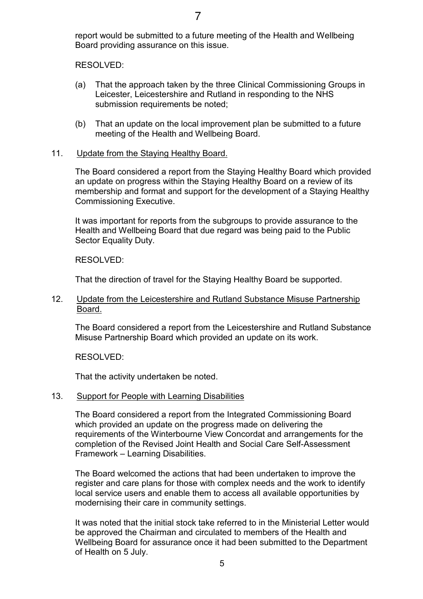report would be submitted to a future meeting of the Health and Wellbeing Board providing assurance on this issue.

RESOLVED:

- (a) That the approach taken by the three Clinical Commissioning Groups in Leicester, Leicestershire and Rutland in responding to the NHS submission requirements be noted;
- (b) That an update on the local improvement plan be submitted to a future meeting of the Health and Wellbeing Board.

## 11. Update from the Staying Healthy Board.

The Board considered a report from the Staying Healthy Board which provided an update on progress within the Staying Healthy Board on a review of its membership and format and support for the development of a Staying Healthy Commissioning Executive.

It was important for reports from the subgroups to provide assurance to the Health and Wellbeing Board that due regard was being paid to the Public Sector Equality Duty.

RESOLVED:

That the direction of travel for the Staying Healthy Board be supported.

## 12. Update from the Leicestershire and Rutland Substance Misuse Partnership Board.

The Board considered a report from the Leicestershire and Rutland Substance Misuse Partnership Board which provided an update on its work.

RESOLVED:

That the activity undertaken be noted.

## 13. Support for People with Learning Disabilities

The Board considered a report from the Integrated Commissioning Board which provided an update on the progress made on delivering the requirements of the Winterbourne View Concordat and arrangements for the completion of the Revised Joint Health and Social Care Self-Assessment Framework – Learning Disabilities.

The Board welcomed the actions that had been undertaken to improve the register and care plans for those with complex needs and the work to identify local service users and enable them to access all available opportunities by modernising their care in community settings.

It was noted that the initial stock take referred to in the Ministerial Letter would be approved the Chairman and circulated to members of the Health and Wellbeing Board for assurance once it had been submitted to the Department of Health on 5 July.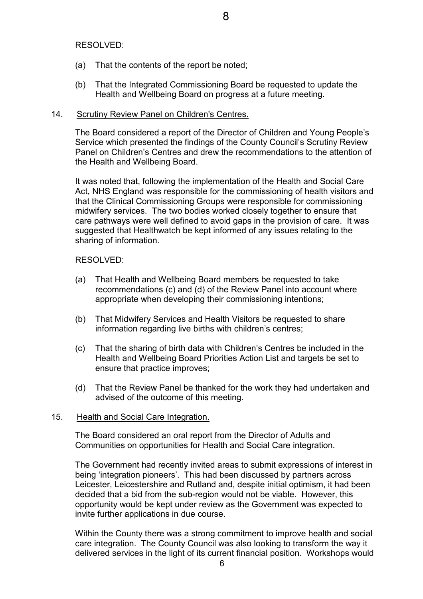RESOLVED:

- (a) That the contents of the report be noted;
- (b) That the Integrated Commissioning Board be requested to update the Health and Wellbeing Board on progress at a future meeting.

## 14. Scrutiny Review Panel on Children's Centres.

The Board considered a report of the Director of Children and Young People's Service which presented the findings of the County Council's Scrutiny Review Panel on Children's Centres and drew the recommendations to the attention of the Health and Wellbeing Board.

It was noted that, following the implementation of the Health and Social Care Act, NHS England was responsible for the commissioning of health visitors and that the Clinical Commissioning Groups were responsible for commissioning midwifery services. The two bodies worked closely together to ensure that care pathways were well defined to avoid gaps in the provision of care. It was suggested that Healthwatch be kept informed of any issues relating to the sharing of information.

## RESOLVED:

- (a) That Health and Wellbeing Board members be requested to take recommendations (c) and (d) of the Review Panel into account where appropriate when developing their commissioning intentions;
- (b) That Midwifery Services and Health Visitors be requested to share information regarding live births with children's centres;
- (c) That the sharing of birth data with Children's Centres be included in the Health and Wellbeing Board Priorities Action List and targets be set to ensure that practice improves;
- (d) That the Review Panel be thanked for the work they had undertaken and advised of the outcome of this meeting.

#### 15. Health and Social Care Integration.

The Board considered an oral report from the Director of Adults and Communities on opportunities for Health and Social Care integration.

The Government had recently invited areas to submit expressions of interest in being 'integration pioneers'. This had been discussed by partners across Leicester, Leicestershire and Rutland and, despite initial optimism, it had been decided that a bid from the sub-region would not be viable. However, this opportunity would be kept under review as the Government was expected to invite further applications in due course.

Within the County there was a strong commitment to improve health and social care integration. The County Council was also looking to transform the way it delivered services in the light of its current financial position. Workshops would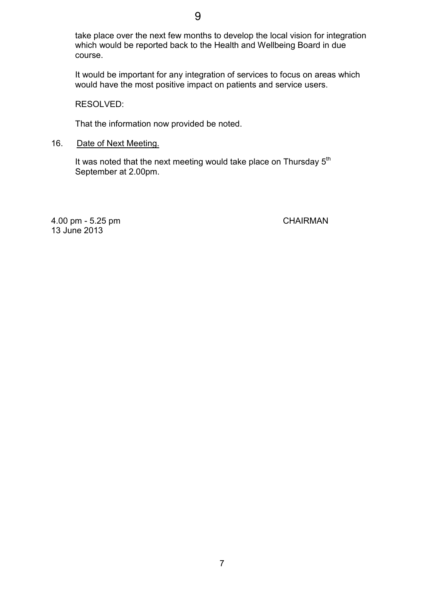take place over the next few months to develop the local vision for integration which would be reported back to the Health and Wellbeing Board in due course.

It would be important for any integration of services to focus on areas which would have the most positive impact on patients and service users.

RESOLVED:

That the information now provided be noted.

16. Date of Next Meeting.

It was noted that the next meeting would take place on Thursday  $5<sup>th</sup>$ September at 2.00pm.

4.00 pm - 5.25 pm CHAIRMAN 13 June 2013